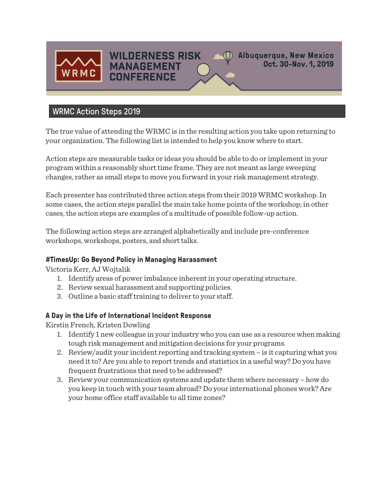

**Albuquerque, New Mexico** Oct. 30-Nov. 1, 2019

# WRMC Action Steps 2019

The true value of attending the WRMC is in the resulting action you take upon returning to your organization. The following list is intended to help you know where to start.

**WILDERNESS RISK** 

**MANAGEMENT** 

**CONFERENCE** 

Action steps are measurable tasks or ideas you should be able to do or implement in your program within a reasonably short time frame. They are not meant as large sweeping changes, rather as small steps to move you forward in your risk management strategy.

Each presenter has contributed three action steps from their 2019 WRMC workshop. In some cases, the action steps parallel the main take home points of the workshop; in other cases, the action steps are examples of a multitude of possible follow-up action.

The following action steps are arranged alphabetically and include pre-conference workshops, workshops, posters, and short talks.

#### **#TimesUp: Go Beyond Policy in Managing Harassment**

Victoria Kerr, AJ Wojtalik

- 1. Identify areas of power imbalance inherent in your operating structure.
- 2. Review sexual harassment and supporting policies.
- 3. Outline a basic staff training to deliver to your staff.

#### **A Day in the Life of International Incident Response**

Kirstin French, Kristen Dowling

- 1. Identify 1 new colleague in your industry who you can use as a resource when making tough risk management and mitigation decisions for your programs.
- 2. Review/audit your incident reporting and tracking system is it capturing what you need it to? Are you able to report trends and statistics in a useful way? Do you have frequent frustrations that need to be addressed?
- 3. Review your communication systems and update them where necessary how do you keep in touch with your team abroad? Do your international phones work? Are your home office staff available to all time zones?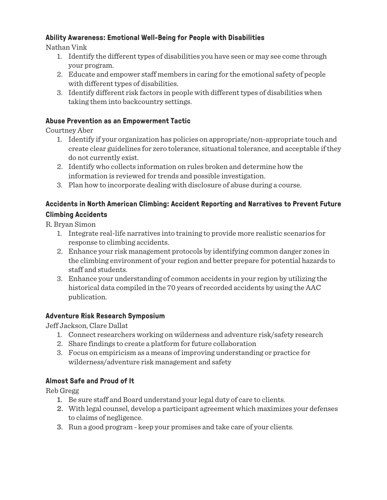## **Ability Awareness: Emotional Well-Being for People with Disabilities**

Nathan Vink

- 1. Identify the different types of disabilities you have seen or may see come through your program.
- 2. Educate and empower staff members in caring for the emotional safety of people with different types of disabilities.
- 3. Identify different risk factors in people with different types of disabilities when taking them into backcountry settings.

#### **Abuse Prevention as an Empowerment Tactic**

Courtney Aber

- 1. Identify if your organization has policies on appropriate/non-appropriate touch and create clear guidelines for zero tolerance, situational tolerance, and acceptable if they do not currently exist.
- 2. Identify who collects information on rules broken and determine how the information is reviewed for trends and possible investigation.
- 3. Plan how to incorporate dealing with disclosure of abuse during a course.

#### **Accidents in North American Climbing: Accident Reporting and Narratives to Prevent Future Climbing Accidents**

R. Bryan Simon

- 1. Integrate real-life narratives into training to provide more realistic scenarios for response to climbing accidents.
- 2. Enhance your risk management protocols by identifying common danger zones in the climbing environment of your region and better prepare for potential hazards to staff and students.
- 3. Enhance your understanding of common accidents in your region by utilizing the historical data compiled in the 70 years of recorded accidents by using the AAC publication.

#### **Adventure Risk Research Symposium**

Jeff Jackson, Clare Dallat

- 1. Connect researchers working on wilderness and adventure risk/safety research
- 2. Share findings to create a platform for future collaboration
- 3. Focus on empiricism as a means of improving understanding or practice for wilderness/adventure risk management and safety

#### **Almost Safe and Proud of It**

Reb Gregg

- 1. Be sure staff and Board understand your legal duty of care to clients.
- 2. With legal counsel, develop a participant agreement which maximizes your defenses to claims of negligence.
- 3. Run a good program keep your promises and take care of your clients.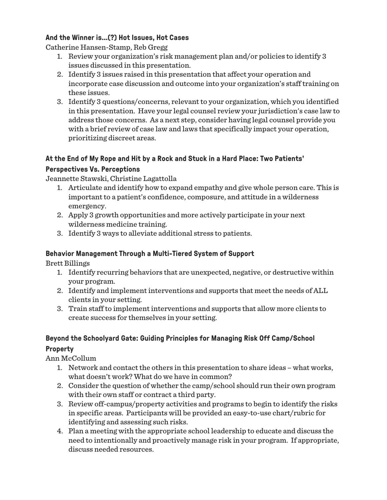#### **And the Winner is...(?) Hot Issues, Hot Cases**

Catherine Hansen-Stamp, Reb Gregg

- 1. Review your organization's risk management plan and/or policies to identify 3 issues discussed in this presentation.
- 2. Identify 3 issues raised in this presentation that affect your operation and incorporate case discussion and outcome into your organization's staff training on these issues.
- 3. Identify 3 questions/concerns, relevant to your organization, which you identified in this presentation. Have your legal counsel review your jurisdiction's case law to address those concerns. As a next step, consider having legal counsel provide you with a brief review of case law and laws that specifically impact your operation, prioritizing discreet areas.

## **At the End of My Rope and Hit by a Rock and Stuck in a Hard Place: Two Patients'**

#### **Perspectives Vs. Perceptions**

Jeannette Stawski, Christine Lagattolla

- 1. Articulate and identify how to expand empathy and give whole person care. This is important to a patient's confidence, composure, and attitude in a wilderness emergency.
- 2. Apply 3 growth opportunities and more actively participate in your next wilderness medicine training.
- 3. Identify 3 ways to alleviate additional stress to patients.

#### **Behavior Management Through a Multi-Tiered System of Support**

Brett Billings

- 1. Identify recurring behaviors that are unexpected, negative, or destructive within your program.
- 2. Identify and implement interventions and supports that meet the needs of ALL clients in your setting.
- 3. Train staff to implement interventions and supports that allow more clients to create success for themselves in your setting.

# **Beyond the Schoolyard Gate: Guiding Principles for Managing Risk Off Camp/School Property**

Ann McCollum

- 1. Network and contact the others in this presentation to share ideas what works, what doesn't work? What do we have in common?
- 2. Consider the question of whether the camp/school should run their own program with their own staff or contract a third party.
- 3. Review off-campus/property activities and programs to begin to identify the risks in specific areas. Participants will be provided an easy-to-use chart/rubric for identifying and assessing such risks.
- 4. Plan a meeting with the appropriate school leadership to educate and discuss the need to intentionally and proactively manage risk in your program. If appropriate, discuss needed resources.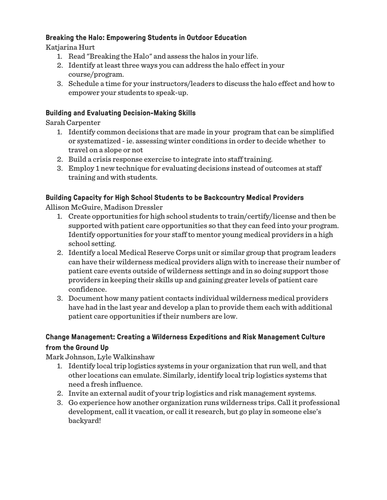#### **Breaking the Halo: Empowering Students in Outdoor Education**

Katjarina Hurt

- 1. Read "Breaking the Halo" and assess the halos in your life.
- 2. Identify at least three ways you can address the halo effect in your course/program.
- 3. Schedule a time for your instructors/leaders to discuss the halo effect and how to empower your students to speak-up.

#### **Building and Evaluating Decision-Making Skills**

Sarah Carpenter

- 1. Identify common decisions that are made in your program that can be simplified or systematized - ie. assessing winter conditions in order to decide whether to travel on a slope or not
- 2. Build a crisis response exercise to integrate into staff training.
- 3. Employ 1 new technique for evaluating decisions instead of outcomes at staff training and with students.

#### **Building Capacity for High School Students to be Backcountry Medical Providers** Allison McGuire, Madison Dressler

- 1. Create opportunities for high school students to train/certify/license and then be supported with patient care opportunities so that they can feed into your program. Identify opportunities for your staff to mentor young medical providers in a high school setting.
- 2. Identify a local Medical Reserve Corps unit or similar group that program leaders can have their wilderness medical providers align with to increase their number of patient care events outside of wilderness settings and in so doing support those providers in keeping their skills up and gaining greater levels of patient care confidence.
- 3. Document how many patient contacts individual wilderness medical providers have had in the last year and develop a plan to provide them each with additional patient care opportunities if their numbers are low.

## **Change Management: Creating a Wilderness Expeditions and Risk Management Culture from the Ground Up**

Mark Johnson, Lyle Walkinshaw

- 1. Identify local trip logistics systems in your organization that run well, and that other locations can emulate. Similarly, identify local trip logistics systems that need a fresh influence.
- 2. Invite an external audit of your trip logistics and risk management systems.
- 3. Go experience how another organization runs wilderness trips. Call it professional development, call it vacation, or call it research, but go play in someone else's backyard!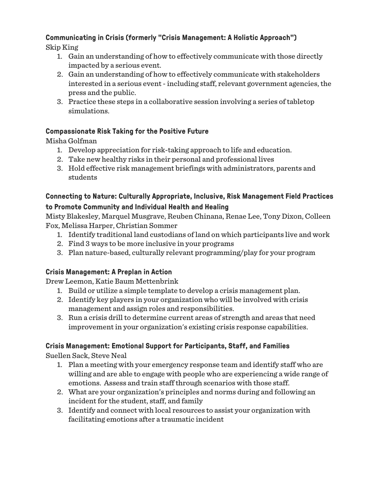# **Communicating in Crisis (formerly "Crisis Management: A Holistic Approach")**

Skip King

- 1. Gain an understanding of how to effectively communicate with those directly impacted by a serious event.
- 2. Gain an understanding of how to effectively communicate with stakeholders interested in a serious event - including staff, relevant government agencies, the press and the public.
- 3. Practice these steps in a collaborative session involving a series of tabletop simulations.

# **Compassionate Risk Taking for the Positive Future**

Misha Golfman

- 1. Develop appreciation for risk-taking approach to life and education.
- 2. Take new healthy risks in their personal and professional lives
- 3. Hold effective risk management briefings with administrators, parents and students

## **Connecting to Nature: Culturally Appropriate, Inclusive, Risk Management Field Practices to Promote Community and Individual Health and Healing**

Misty Blakesley, Marquel Musgrave, Reuben Chinana, Renae Lee, Tony Dixon, Colleen Fox, Melissa Harper, Christian Sommer

- 1. Identify traditional land custodians of land on which participants live and work
- 2. Find 3 ways to be more inclusive in your programs
- 3. Plan nature-based, culturally relevant programming/play for your program

# **Crisis Management: A Preplan in Action**

Drew Leemon, Katie Baum Mettenbrink

- 1. Build or utilize a simple template to develop a crisis management plan.
- 2. Identify key players in your organization who will be involved with crisis management and assign roles and responsibilities.
- 3. Run a crisis drill to determine current areas of strength and areas that need improvement in your organization's existing crisis response capabilities.

# **Crisis Management: Emotional Support for Participants, Staff, and Families**

Suellen Sack, Steve Neal

- 1. Plan a meeting with your emergency response team and identify staff who are willing and are able to engage with people who are experiencing a wide range of emotions. Assess and train staff through scenarios with those staff.
- 2. What are your organization's principles and norms during and following an incident for the student, staff, and family
- 3. Identify and connect with local resources to assist your organization with facilitating emotions after a traumatic incident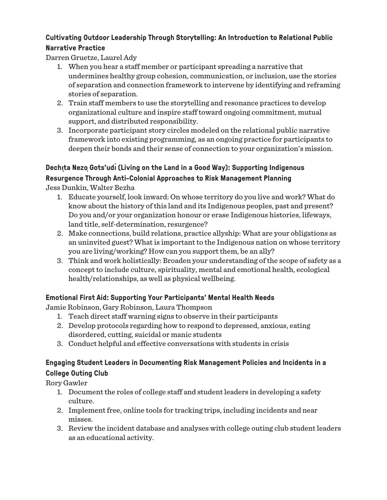## **Cultivating Outdoor Leadership Through Storytelling: An Introduction to Relational Public Narrative Practice**

Darren Gruetze, Laurel Ady

- 1. When you hear a staff member or participant spreading a narrative that undermines healthy group cohesion, communication, or inclusion, use the stories of separation and connection framework to intervene by identifying and reframing stories of separation.
- 2. Train staff members to use the storytelling and resonance practices to develop organizational culture and inspire staff toward ongoing commitment, mutual support, and distributed responsibility.
- 3. Incorporate participant story circles modeled on the relational public narrative framework into existing programming, as an ongoing practice for participants to deepen their bonds and their sense of connection to your organization's mission.

# **Dechı̨ta NezǫGots'udı́(Living on the Land in a Good Way): Supporting Indigenous**

**Resurgence Through Anti-Colonial Approaches to Risk Management Planning** Jess Dunkin, Walter Bezha

- 1. Educate yourself, look inward: On whose territory do you live and work? What do know about the history of this land and its Indigenous peoples, past and present? Do you and/or your organization honour or erase Indigenous histories, lifeways, land title, self-determination, resurgence?
- 2. Make connections, build relations, practice allyship: What are your obligations as an uninvited guest? What is important to the Indigenous nation on whose territory you are living/working? How can you support them, be an ally?
- 3. Think and work holistically: Broaden your understanding of the scope of safety as a concept to include culture, spirituality, mental and emotional health, ecological health/relationships, as well as physical wellbeing.

## **Emotional First Aid: Supporting Your Participants' Mental Health Needs**

Jamie Robinson, Gary Robinson, Laura Thompson

- 1. Teach direct staff warning signs to observe in their participants
- 2. Develop protocols regarding how to respond to depressed, anxious, eating disordered, cutting, suicidal or manic students
- 3. Conduct helpful and effective conversations with students in crisis

# **Engaging Student Leaders in Documenting Risk Management Policies and Incidents in a College Outing Club**

Rory Gawler

- 1. Document the roles of college staff and student leaders in developing a safety culture.
- 2. Implement free, online tools for tracking trips, including incidents and near misses.
- 3. Review the incident database and analyses with college outing club student leaders as an educational activity.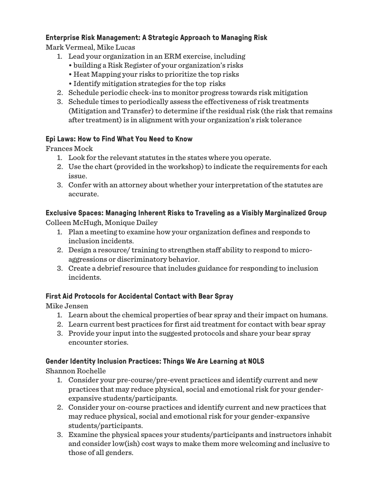## **Enterprise Risk Management: A Strategic Approach to Managing Risk**

Mark Vermeal, Mike Lucas

- 1. Lead your organization in an ERM exercise, including
	- building a Risk Register of your organization's risks
	- Heat Mapping your risks to prioritize the top risks
	- Identify mitigation strategies for the top risks
- 2. Schedule periodic check-ins to monitor progress towards risk mitigation
- 3. Schedule times to periodically assess the effectiveness of risk treatments (Mitigation and Transfer) to determine if the residual risk (the risk that remains after treatment) is in alignment with your organization's risk tolerance

## **Epi Laws: How to Find What You Need to Know**

Frances Mock

- 1. Look for the relevant statutes in the states where you operate.
- 2. Use the chart (provided in the workshop) to indicate the requirements for each issue.
- 3. Confer with an attorney about whether your interpretation of the statutes are accurate.

## **Exclusive Spaces: Managing Inherent Risks to Traveling as a Visibly Marginalized Group**

Colleen McHugh, Monique Dailey

- 1. Plan a meeting to examine how your organization defines and responds to inclusion incidents.
- 2. Design a resource/ training to strengthen staff ability to respond to microaggressions or discriminatory behavior.
- 3. Create a debrief resource that includes guidance for responding to inclusion incidents.

## **First Aid Protocols for Accidental Contact with Bear Spray**

Mike Jensen

- 1. Learn about the chemical properties of bear spray and their impact on humans.
- 2. Learn current best practices for first aid treatment for contact with bear spray
- 3. Provide your input into the suggested protocols and share your bear spray encounter stories.

#### **Gender Identity Inclusion Practices: Things We Are Learning at NOLS**

Shannon Rochelle

- 1. Consider your pre-course/pre-event practices and identify current and new practices that may reduce physical, social and emotional risk for your genderexpansive students/participants.
- 2. Consider your on-course practices and identify current and new practices that may reduce physical, social and emotional risk for your gender-expansive students/participants.
- 3. Examine the physical spaces your students/participants and instructors inhabit and consider low(ish) cost ways to make them more welcoming and inclusive to those of all genders.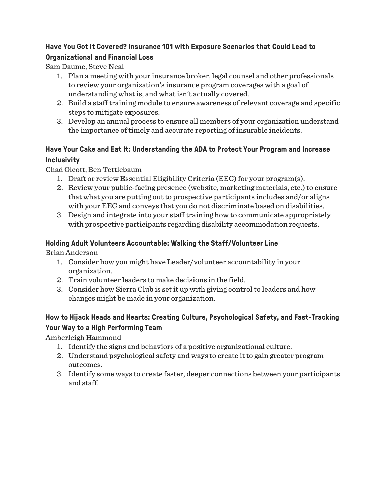#### **Have You Got It Covered? Insurance 101 with Exposure Scenarios that Could Lead to Organizational and Financial Loss**

Sam Daume, Steve Neal

- 1. Plan a meeting with your insurance broker, legal counsel and other professionals to review your organization's insurance program coverages with a goal of understanding what is, and what isn't actually covered.
- 2. Build a staff training module to ensure awareness of relevant coverage and specific steps to mitigate exposures.
- 3. Develop an annual process to ensure all members of your organization understand the importance of timely and accurate reporting of insurable incidents.

# **Have Your Cake and Eat It: Understanding the ADA to Protect Your Program and Increase Inclusivity**

Chad Olcott, Ben Tettlebaum

- 1. Draft or review Essential Eligibility Criteria (EEC) for your program(s).
- 2. Review your public-facing presence (website, marketing materials, etc.) to ensure that what you are putting out to prospective participants includes and/or aligns with your EEC and conveys that you do not discriminate based on disabilities.
- 3. Design and integrate into your staff training how to communicate appropriately with prospective participants regarding disability accommodation requests.

## **Holding Adult Volunteers Accountable: Walking the Staff/Volunteer Line**

Brian Anderson

- 1. Consider how you might have Leader/volunteer accountability in your organization.
- 2. Train volunteer leaders to make decisions in the field.
- 3. Consider how Sierra Club is set it up with giving control to leaders and how changes might be made in your organization.

# **How to Hijack Heads and Hearts: Creating Culture, Psychological Safety, and Fast-Tracking Your Way to a High Performing Team**

Amberleigh Hammond

- 1. Identify the signs and behaviors of a positive organizational culture.
- 2. Understand psychological safety and ways to create it to gain greater program outcomes.
- 3. Identify some ways to create faster, deeper connections between your participants and staff.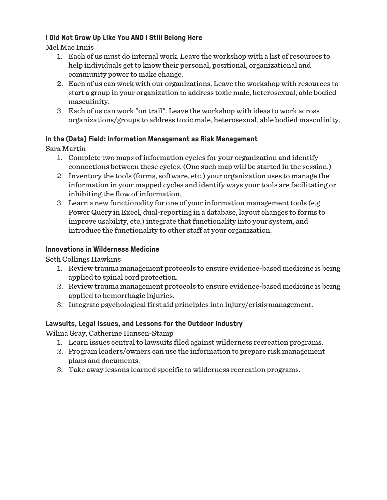### **I Did Not Grow Up Like You AND I Still Belong Here**

Mel Mac Innis

- 1. Each of us must do internal work. Leave the workshop with a list of resources to help individuals get to know their personal, positional, organizational and community power to make change.
- 2. Each of us can work with our organizations. Leave the workshop with resources to start a group in your organization to address toxic male, heterosexual, able bodied masculinity.
- 3. Each of us can work "on trail". Leave the workshop with ideas to work across organizations/groups to address toxic male, heterosexual, able bodied masculinity.

## **In the (Data) Field: Information Management as Risk Management**

Sara Martin

- 1. Complete two maps of information cycles for your organization and identify connections between these cycles. (One such map will be started in the session.)
- 2. Inventory the tools (forms, software, etc.) your organization uses to manage the information in your mapped cycles and identify ways your tools are facilitating or inhibiting the flow of information.
- 3. Learn a new functionality for one of your information management tools (e.g. Power Query in Excel, dual-reporting in a database, layout changes to forms to improve usability, etc.) integrate that functionality into your system, and introduce the functionality to other staff at your organization.

## **Innovations in Wilderness Medicine**

Seth Collings Hawkins

- 1. Review trauma management protocols to ensure evidence-based medicine is being applied to spinal cord protection.
- 2. Review trauma management protocols to ensure evidence-based medicine is being applied to hemorrhagic injuries.
- 3. Integrate psychological first aid principles into injury/crisis management.

#### **Lawsuits, Legal Issues, and Lessons for the Outdoor Industry**

Wilma Gray, Catherine Hansen-Stamp

- 1. Learn issues central to lawsuits filed against wilderness recreation programs.
- 2. Program leaders/owners can use the information to prepare risk management plans and documents.
- 3. Take away lessons learned specific to wilderness recreation programs.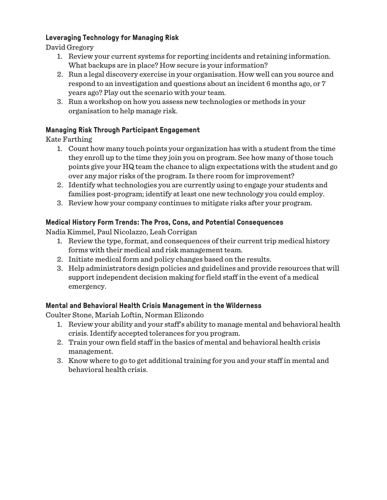### **Leveraging Technology for Managing Risk**

David Gregory

- 1. Review your current systems for reporting incidents and retaining information. What backups are in place? How secure is your information?
- 2. Run a legal discovery exercise in your organisation. How well can you source and respond to an investigation and questions about an incident 6 months ago, or 7 years ago? Play out the scenario with your team.
- 3. Run a workshop on how you assess new technologies or methods in your organisation to help manage risk.

## **Managing Risk Through Participant Engagement**

Kate Farthing

- 1. Count how many touch points your organization has with a student from the time they enroll up to the time they join you on program. See how many of those touch points give your HQ team the chance to align expectations with the student and go over any major risks of the program. Is there room for improvement?
- 2. Identify what technologies you are currently using to engage your students and families post-program; identify at least one new technology you could employ.
- 3. Review how your company continues to mitigate risks after your program.

## **Medical History Form Trends: The Pros, Cons, and Potential Consequences**

Nadia Kimmel, Paul Nicolazzo, Leah Corrigan

- 1. Review the type, format, and consequences of their current trip medical history forms with their medical and risk management team.
- 2. Initiate medical form and policy changes based on the results.
- 3. Help administrators design policies and guidelines and provide resources that will support independent decision making for field staff in the event of a medical emergency.

## **Mental and Behavioral Health Crisis Management in the Wilderness**

Coulter Stone, Mariah Loftin, Norman Elizondo

- 1. Review your ability and your staff's ability to manage mental and behavioral health crisis. Identify accepted tolerances for you program.
- 2. Train your own field staff in the basics of mental and behavioral health crisis management.
- 3. Know where to go to get additional training for you and your staff in mental and behavioral health crisis.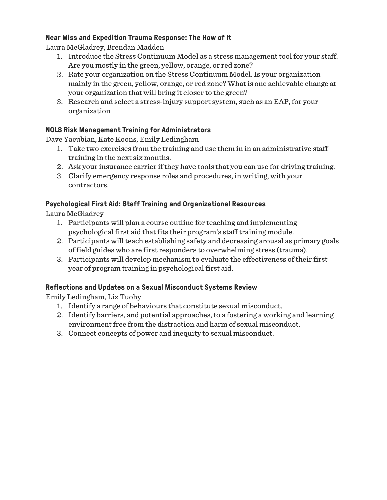### **Near Miss and Expedition Trauma Response: The How of It**

Laura McGladrey, Brendan Madden

- 1. Introduce the Stress Continuum Model as a stress management tool for your staff. Are you mostly in the green, yellow, orange, or red zone?
- 2. Rate your organization on the Stress Continuum Model. Is your organization mainly in the green, yellow, orange, or red zone? What is one achievable change at your organization that will bring it closer to the green?
- 3. Research and select a stress-injury support system, such as an EAP, for your organization

## **NOLS Risk Management Training for Administrators**

Dave Yacubian, Kate Koons, Emily Ledingham

- 1. Take two exercises from the training and use them in in an administrative staff training in the next six months.
- 2. Ask your insurance carrier if they have tools that you can use for driving training.
- 3. Clarify emergency response roles and procedures, in writing, with your contractors.

## **Psychological First Aid: Staff Training and Organizational Resources**

Laura McGladrey

- 1. Participants will plan a course outline for teaching and implementing psychological first aid that fits their program's staff training module.
- 2. Participants will teach establishing safety and decreasing arousal as primary goals of field guides who are first responders to overwhelming stress (trauma).
- 3. Participants will develop mechanism to evaluate the effectiveness of their first year of program training in psychological first aid.

#### **Reflections and Updates on a Sexual Misconduct Systems Review**

Emily Ledingham, Liz Tuohy

- 1. Identify a range of behaviours that constitute sexual misconduct.
- 2. Identify barriers, and potential approaches, to a fostering a working and learning environment free from the distraction and harm of sexual misconduct.
- 3. Connect concepts of power and inequity to sexual misconduct.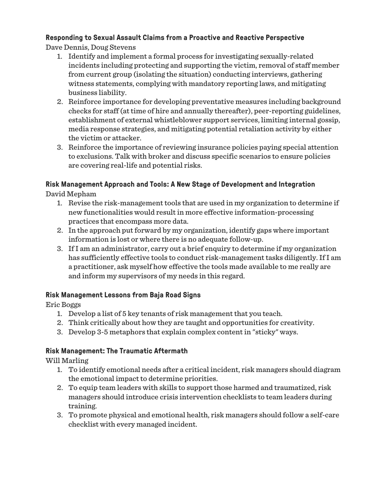# **Responding to Sexual Assault Claims from a Proactive and Reactive Perspective**

Dave Dennis, Doug Stevens

- 1. Identify and implement a formal process for investigating sexually-related incidents including protecting and supporting the victim, removal of staff member from current group (isolating the situation) conducting interviews, gathering witness statements, complying with mandatory reporting laws, and mitigating business liability.
- 2. Reinforce importance for developing preventative measures including background checks for staff (at time of hire and annually thereafter), peer-reporting guidelines, establishment of external whistleblower support services, limiting internal gossip, media response strategies, and mitigating potential retaliation activity by either the victim or attacker.
- 3. Reinforce the importance of reviewing insurance policies paying special attention to exclusions. Talk with broker and discuss specific scenarios to ensure policies are covering real-life and potential risks.

#### **Risk Management Approach and Tools: A New Stage of Development and Integration**

David Mepham

- 1. Revise the risk-management tools that are used in my organization to determine if new functionalities would result in more effective information-processing practices that encompass more data.
- 2. In the approach put forward by my organization, identify gaps where important information is lost or where there is no adequate follow-up.
- 3. If I am an administrator, carry out a brief enquiry to determine if my organization has sufficiently effective tools to conduct risk-management tasks diligently. If I am a practitioner, ask myself how effective the tools made available to me really are and inform my supervisors of my needs in this regard.

#### **Risk Management Lessons from Baja Road Signs**

Eric Boggs

- 1. Develop a list of 5 key tenants of risk management that you teach.
- 2. Think critically about how they are taught and opportunities for creativity.
- 3. Develop 3-5 metaphors that explain complex content in "sticky" ways.

## **Risk Management: The Traumatic Aftermath**

Will Marling

- 1. To identify emotional needs after a critical incident, risk managers should diagram the emotional impact to determine priorities.
- 2. To equip team leaders with skills to support those harmed and traumatized, risk managers should introduce crisis intervention checklists to team leaders during training.
- 3. To promote physical and emotional health, risk managers should follow a self-care checklist with every managed incident.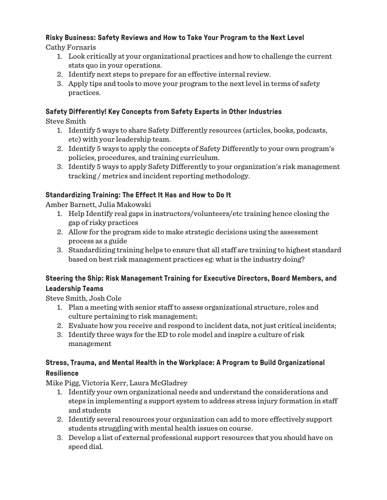# **Risky Business: Safety Reviews and How to Take Your Program to the Next Level**

Cathy Fornaris

- 1. Look critically at your organizational practices and how to challenge the current stats quo in your operations.
- 2. Identify next steps to prepare for an effective internal review.
- 3. Apply tips and tools to move your program to the next level in terms of safety practices.

## **Safety Differently! Key Concepts from Safety Experts in Other Industries**

Steve Smith

- 1. Identify 5 ways to share Safety Differently resources (articles, books, podcasts, etc) with your leadership team.
- 2. Identify 5 ways to apply the concepts of Safety Differently to your own program's policies, procedures, and training curriculum.
- 3. Identify 5 ways to apply Safety Differently to your organization's risk management tracking / metrics and incident reporting methodology.

## **Standardizing Training: The Effect It Has and How to Do It**

Amber Barnett, Julia Makowski

- 1. Help Identify real gaps in instructors/volunteers/etc training hence closing the gap of risky practices
- 2. Allow for the program side to make strategic decisions using the assessment process as a guide
- 3. Standardizing training helps to ensure that all staff are training to highest standard based on best risk management practices eg: what is the industry doing?

## **Steering the Ship: Risk Management Training for Executive Directors, Board Members, and Leadership Teams**

Steve Smith, Josh Cole

- 1. Plan a meeting with senior staff to assess organizational structure, roles and culture pertaining to risk management;
- 2. Evaluate how you receive and respond to incident data, not just critical incidents;
- 3. Identify three ways for the ED to role model and inspire a culture of risk management

## **Stress, Trauma, and Mental Health in the Workplace: A Program to Build Organizational Resilience**

Mike Pigg, Victoria Kerr, Laura McGladrey

- 1. Identify your own organizational needs and understand the considerations and steps in implementing a support system to address stress injury formation in staff and students
- 2. Identify several resources your organization can add to more effectively support students struggling with mental health issues on course.
- 3. Develop a list of external professional support resources that you should have on speed dial.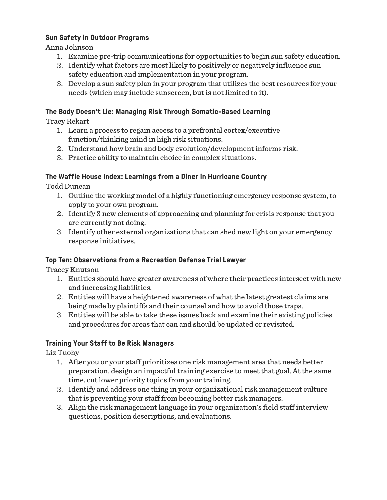#### **Sun Safety in Outdoor Programs**

Anna Johnson

- 1. Examine pre-trip communications for opportunities to begin sun safety education.
- 2. Identify what factors are most likely to positively or negatively influence sun safety education and implementation in your program.
- 3. Develop a sun safety plan in your program that utilizes the best resources for your needs (which may include sunscreen, but is not limited to it).

#### **The Body Doesn't Lie: Managing Risk Through Somatic-Based Learning**

Tracy Rekart

- 1. Learn a process to regain access to a prefrontal cortex/executive function/thinking mind in high risk situations.
- 2. Understand how brain and body evolution/development informs risk.
- 3. Practice ability to maintain choice in complex situations.

#### **The Waffle House Index: Learnings from a Diner in Hurricane Country**

Todd Duncan

- 1. Outline the working model of a highly functioning emergency response system, to apply to your own program.
- 2. Identify 3 new elements of approaching and planning for crisis response that you are currently not doing.
- 3. Identify other external organizations that can shed new light on your emergency response initiatives.

#### **Top Ten: Observations from a Recreation Defense Trial Lawyer**

Tracey Knutson

- 1. Entities should have greater awareness of where their practices intersect with new and increasing liabilities.
- 2. Entities will have a heightened awareness of what the latest greatest claims are being made by plaintiffs and their counsel and how to avoid those traps.
- 3. Entities will be able to take these issues back and examine their existing policies and procedures for areas that can and should be updated or revisited.

#### **Training Your Staff to Be Risk Managers**

Liz Tuohy

- 1. After you or your staff prioritizes one risk management area that needs better preparation, design an impactful training exercise to meet that goal. At the same time, cut lower priority topics from your training.
- 2. Identify and address one thing in your organizational risk management culture that is preventing your staff from becoming better risk managers.
- 3. Align the risk management language in your organization's field staff interview questions, position descriptions, and evaluations.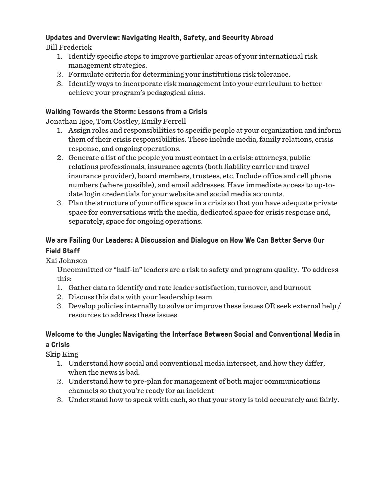## **Updates and Overview: Navigating Health, Safety, and Security Abroad**

Bill Frederick

- 1. Identify specific steps to improve particular areas of your international risk management strategies.
- 2. Formulate criteria for determining your institutions risk tolerance.
- 3. Identify ways to incorporate risk management into your curriculum to better achieve your program's pedagogical aims.

## **Walking Towards the Storm: Lessons from a Crisis**

Jonathan Igoe, Tom Costley, Emily Ferrell

- 1. Assign roles and responsibilities to specific people at your organization and inform them of their crisis responsibilities. These include media, family relations, crisis response, and ongoing operations.
- 2. Generate a list of the people you must contact in a crisis: attorneys, public relations professionals, insurance agents (both liability carrier and travel insurance provider), board members, trustees, etc. Include office and cell phone numbers (where possible), and email addresses. Have immediate access to up-todate login credentials for your website and social media accounts.
- 3. Plan the structure of your office space in a crisis so that you have adequate private space for conversations with the media, dedicated space for crisis response and, separately, space for ongoing operations.

## **We are Failing Our Leaders: A Discussion and Dialogue on How We Can Better Serve Our Field Staff**

Kai Johnson

Uncommitted or "half-in" leaders are a risk to safety and program quality. To address this:

- 1. Gather data to identify and rate leader satisfaction, turnover, and burnout
- 2. Discuss this data with your leadership team
- 3. Develop policies internally to solve or improve these issues OR seek external help / resources to address these issues

# **Welcome to the Jungle: Navigating the Interface Between Social and Conventional Media in a Crisis**

Skip King

- 1. Understand how social and conventional media intersect, and how they differ, when the news is bad.
- 2. Understand how to pre-plan for management of both major communications channels so that you're ready for an incident
- 3. Understand how to speak with each, so that your story is told accurately and fairly.